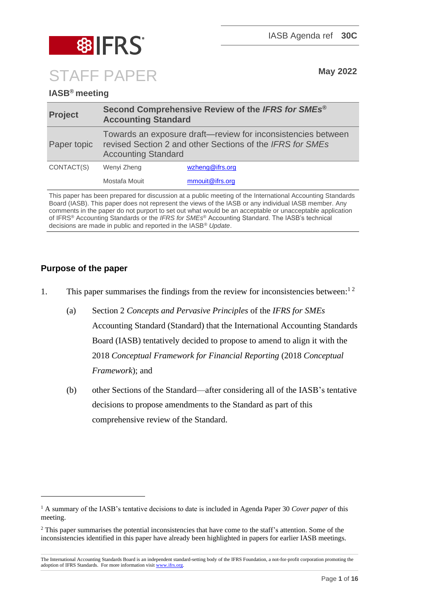

# **IASB® meeting**

| <b>Project</b> | Second Comprehensive Review of the IFRS for SMEs <sup>®</sup><br><b>Accounting Standard</b>                                                             |                 |
|----------------|---------------------------------------------------------------------------------------------------------------------------------------------------------|-----------------|
| Paper topic    | Towards an exposure draft—review for inconsistencies between<br>revised Section 2 and other Sections of the IFRS for SMEs<br><b>Accounting Standard</b> |                 |
| CONTACT(S)     | Wenyi Zheng                                                                                                                                             | wzheng@ifrs.org |
|                | Mostafa Mouit                                                                                                                                           | mmouit@ifrs.org |

This paper has been prepared for discussion at a public meeting of the International Accounting Standards Board (IASB). This paper does not represent the views of the IASB or any individual IASB member. Any comments in the paper do not purport to set out what would be an acceptable or unacceptable application of IFRS® Accounting Standards or the *IFRS for SMEs*® Accounting Standard. The IASB's technical decisions are made in public and reported in the IASB® *Update*.

## **Purpose of the paper**

- 1. This paper summarises the findings from the review for inconsistencies between:<sup>12</sup>
	- (a) Section 2 *Concepts and Pervasive Principles* of the *IFRS for SMEs* Accounting Standard (Standard) that the International Accounting Standards Board (IASB) tentatively decided to propose to amend to align it with the 2018 *Conceptual Framework for Financial Reporting* (2018 *Conceptual Framework*); and
	- (b) other Sections of the Standard—after considering all of the IASB's tentative decisions to propose amendments to the Standard as part of this comprehensive review of the Standard.

<sup>&</sup>lt;sup>1</sup> A summary of the IASB's tentative decisions to date is included in Agenda Paper 30 *Cover paper* of this meeting.

<sup>&</sup>lt;sup>2</sup> This paper summarises the potential inconsistencies that have come to the staff's attention. Some of the inconsistencies identified in this paper have already been highlighted in papers for earlier IASB meetings.

The International Accounting Standards Board is an independent standard-setting body of the IFRS Foundation, a not-for-profit corporation promoting the adoption of IFRS Standards. For more information visi[t www.ifrs.org.](http://www.ifrs.org/)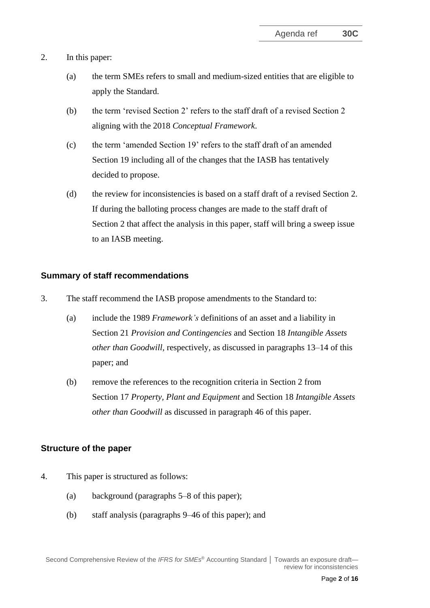- 2. In this paper:
	- (a) the term SMEs refers to small and medium-sized entities that are eligible to apply the Standard.
	- (b) the term 'revised Section 2' refers to the staff draft of a revised Section 2 aligning with the 2018 *Conceptual Framework*.
	- (c) the term 'amended Section 19' refers to the staff draft of an amended Section 19 including all of the changes that the IASB has tentatively decided to propose.
	- (d) the review for inconsistencies is based on a staff draft of a revised Section 2. If during the balloting process changes are made to the staff draft of Section 2 that affect the analysis in this paper, staff will bring a sweep issue to an IASB meeting.

#### **Summary of staff recommendations**

- 3. The staff recommend the IASB propose amendments to the Standard to:
	- (a) include the 1989 *Framework's* definitions of an asset and a liability in Section 21 *Provision and Contingencies* and Section 18 *Intangible Assets other than Goodwill,* respectively, as discussed in paragraphs [13–](#page-4-0)[14](#page-5-0) of this paper; and
	- (b) remove the references to the recognition criteria in Section 2 from Section 17 *Property, Plant and Equipment* and Section 18 *Intangible Assets other than Goodwill* as discussed in paragraph [46](#page-14-0) of this paper.

#### **Structure of the paper**

- 4. This paper is structured as follows:
	- (a) background (paragraphs [5–](#page-2-0)[8](#page-3-0) of this paper);
	- (b) staff analysis (paragraphs [9](#page-3-1)[–46](#page-14-0) of this paper); and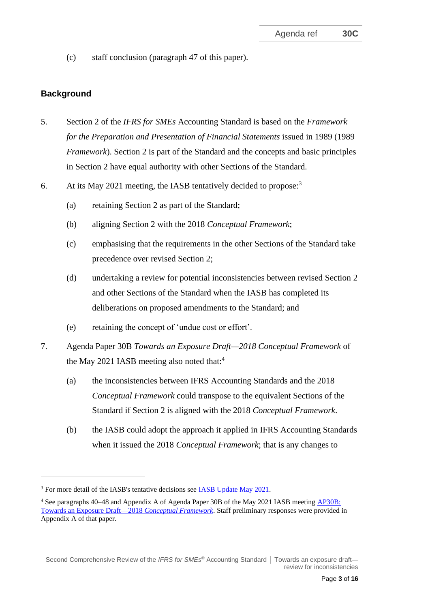(c) staff conclusion (paragraph [47](#page-14-1) of this paper).

## **Background**

- <span id="page-2-0"></span>5. Section 2 of the *IFRS for SMEs* Accounting Standard is based on the *Framework for the Preparation and Presentation of Financial Statements* issued in 1989 (1989 *Framework*). Section 2 is part of the Standard and the concepts and basic principles in Section 2 have equal authority with other Sections of the Standard.
- <span id="page-2-2"></span><span id="page-2-1"></span>6. At its May 2021 meeting, the IASB tentatively decided to propose: 3
	- (a) retaining Section 2 as part of the Standard;
	- (b) aligning Section 2 with the 2018 *Conceptual Framework*;
	- (c) emphasising that the requirements in the other Sections of the Standard take precedence over revised Section 2;
	- (d) undertaking a review for potential inconsistencies between revised Section 2 and other Sections of the Standard when the IASB has completed its deliberations on proposed amendments to the Standard; and
	- (e) retaining the concept of 'undue cost or effort'.
- 7. Agenda Paper 30B *Towards an Exposure Draft—2018 Conceptual Framework* of the May 2021 IASB meeting also noted that:<sup>4</sup>
	- (a) the inconsistencies between IFRS Accounting Standards and the 2018 *Conceptual Framework* could transpose to the equivalent Sections of the Standard if Section 2 is aligned with the 2018 *Conceptual Framework*.
	- (b) the IASB could adopt the approach it applied in IFRS Accounting Standards when it issued the 2018 *Conceptual Framework*; that is any changes to

<sup>&</sup>lt;sup>3</sup> For more detail of the IASB's tentative decisions see [IASB Update May 2021.](https://www.ifrs.org/news-and-events/updates/iasb/2021/iasb-update-may-2021/#5)

<sup>4</sup> See paragraphs 40–48 and Appendix A of Agenda Paper 30B of the May 2021 IASB meeting [AP30B:](https://www.ifrs.org/content/dam/ifrs/meetings/2021/may/iasb/ap30b-towards-an-exposure-draft-2018-conceptual-framework.pdf)  [Towards an Exposure Draft—2018](https://www.ifrs.org/content/dam/ifrs/meetings/2021/may/iasb/ap30b-towards-an-exposure-draft-2018-conceptual-framework.pdf) *Conceptual Framework*. Staff preliminary responses were provided in Appendix A of that paper.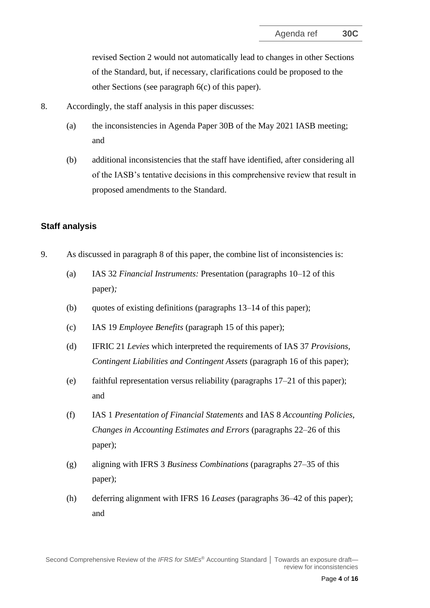revised Section 2 would not automatically lead to changes in other Sections of the Standard, but, if necessary, clarifications could be proposed to the other Sections (see paragraph [6\(c\)](#page-2-1) of this paper).

- <span id="page-3-0"></span>8. Accordingly, the staff analysis in this paper discusses:
	- (a) the inconsistencies in Agenda Paper 30B of the May 2021 IASB meeting; and
	- (b) additional inconsistencies that the staff have identified, after considering all of the IASB's tentative decisions in this comprehensive review that result in proposed amendments to the Standard.

#### **Staff analysis**

- <span id="page-3-1"></span>9. As discussed in paragraph [8](#page-3-0) of this paper, the combine list of inconsistencies is:
	- (a) IAS 32 *Financial Instruments:* Presentation (paragraphs [10](#page-4-1)[–12](#page-4-2) of this paper)*;*
	- (b) quotes of existing definitions (paragraphs [13–](#page-4-0)[14](#page-5-0) of this paper);
	- (c) IAS 19 *Employee Benefits* (paragraph [15](#page-5-1) of this paper);
	- (d) IFRIC 21 *Levies* which interpreted the requirements of IAS 37 *Provisions, Contingent Liabilities and Contingent Assets* (paragraph [16](#page-5-2) of this paper);
	- (e) faithful representation versus reliability (paragraphs [17–](#page-6-0)[21](#page-7-0) of this paper); and
	- (f) IAS 1 *Presentation of Financial Statements* and IAS 8 *Accounting Policies, Changes in Accounting Estimates and Errors* (paragraphs [22–](#page-7-1)[26](#page-8-0) of this paper);
	- (g) aligning with IFRS 3 *Business Combinations* (paragraphs [27](#page-8-1)[–35](#page-11-0) of this paper);
	- (h) deferring alignment with IFRS 16 *Leases* (paragraphs [36](#page-11-1)[–42](#page-13-0) of this paper); and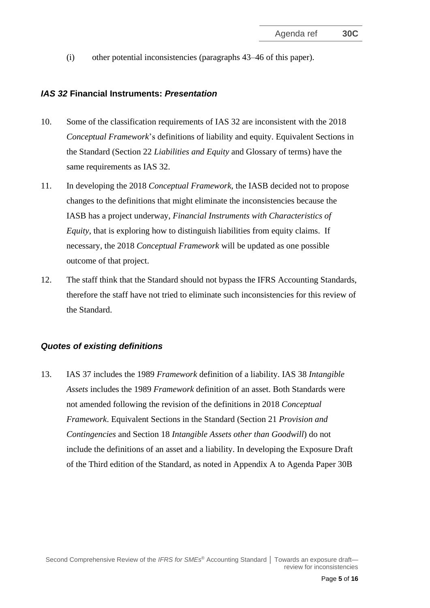(i) other potential inconsistencies (paragraphs [43–](#page-13-1)[46](#page-14-0) of this paper).

#### *IAS 32* **Financial Instruments:** *Presentation*

- <span id="page-4-1"></span>10. Some of the classification requirements of IAS 32 are inconsistent with the 2018 *Conceptual Framework*'s definitions of liability and equity. Equivalent Sections in the Standard (Section 22 *[Liabilities and Equity](https://eifrs.ifrs.org/eifrs/ViewContent?collection=IFRS_for_SMEs&fn=SMES_CHK_CHAPTER.html&scrollTo=IFRS_FOR_SMES_Section22)* and Glossary of terms) have the same requirements as IAS 32.
- 11. In developing the 2018 *Conceptual Framework*, the IASB decided not to propose changes to the definitions that might eliminate the inconsistencies because the IASB has a project underway, *Financial Instruments with Characteristics of Equity*, that is exploring how to distinguish liabilities from equity claims. If necessary, the 2018 *Conceptual Framework* will be updated as one possible outcome of that project.
- <span id="page-4-2"></span>12. The staff think that the Standard should not bypass the IFRS Accounting Standards, therefore the staff have not tried to eliminate such inconsistencies for this review of the Standard.

#### *Quotes of existing definitions*

<span id="page-4-0"></span>13. IAS 37 includes the 1989 *Framework* definition of a liability. IAS 38 *Intangible Assets* includes the 1989 *Framework* definition of an asset. Both Standards were not amended following the revision of the definitions in 2018 *Conceptual Framework*. Equivalent Sections in the Standard (Section 21 *Provision and Contingencies* and Section 18 *Intangible Assets other than Goodwill*) do not include the definitions of an asset and a liability. In developing the Exposure Draft of the Third edition of the Standard, as noted in Appendix A to Agenda Paper 30B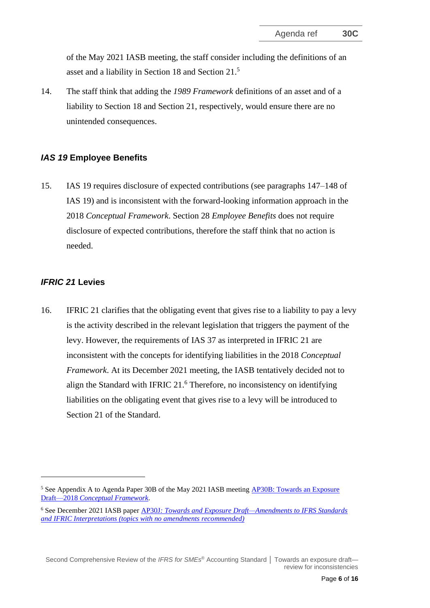of the May 2021 IASB meeting, the staff consider including the definitions of an asset and a liability in Section 18 and Section 21.<sup>5</sup>

<span id="page-5-0"></span>14. The staff think that adding the *1989 Framework* definitions of an asset and of a liability to Section 18 and Section 21, respectively, would ensure there are no unintended consequences.

#### *IAS 19* **Employee Benefits**

<span id="page-5-1"></span>15. IAS 19 requires disclosure of expected contributions (see paragraphs 147–148 of IAS 19) and is inconsistent with the forward-looking information approach in the 2018 *Conceptual Framework*. Section 28 *Employee Benefits* does not require disclosure of expected contributions, therefore the staff think that no action is needed.

#### *IFRIC 21* **Levies**

<span id="page-5-2"></span>16. IFRIC 21 clarifies that the obligating event that gives rise to a liability to pay a levy is the activity described in the relevant legislation that triggers the payment of the levy. However, the requirements of IAS 37 as interpreted in IFRIC 21 are inconsistent with the concepts for identifying liabilities in the 2018 *Conceptual Framework*. At its December 2021 meeting, the IASB tentatively decided not to align the Standard with IFRIC 21.<sup>6</sup> Therefore, no inconsistency on identifying liabilities on the obligating event that gives rise to a levy will be introduced to Section 21 of the Standard.

<sup>&</sup>lt;sup>5</sup> See Appendix A to Agenda Paper 30B of the May 2021 IASB meeting **AP30B: Towards an Exposure** Draft—2018 *[Conceptual Framework](https://www.ifrs.org/content/dam/ifrs/meetings/2021/may/iasb/ap30b-towards-an-exposure-draft-2018-conceptual-framework.pdf)*.

<sup>6</sup> See December 2021 IASB paper AP30J*[: Towards and Exposure Draft—Amendments to IFRS Standards](https://www.ifrs.org/content/dam/ifrs/meetings/2021/december/iasb/ap30j-amendments-to-ifrss-no-amendments-recommended.pdf)  [and IFRIC Interpretations \(topics with no amendments recommended\)](https://www.ifrs.org/content/dam/ifrs/meetings/2021/december/iasb/ap30j-amendments-to-ifrss-no-amendments-recommended.pdf)*

Second Comprehensive Review of the *IFRS for SMEs* ® Accounting Standard **│** Towards an exposure draft review for inconsistencies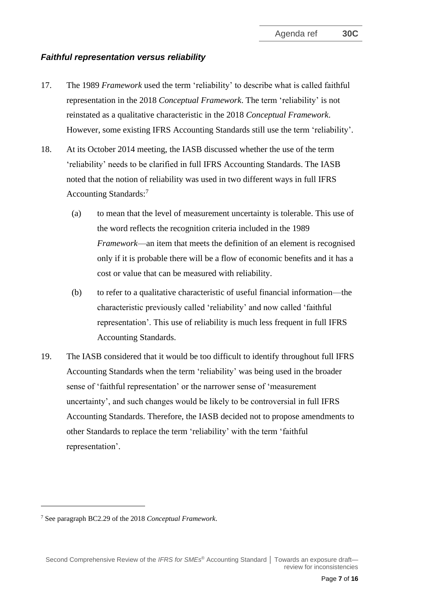#### *Faithful representation versus reliability*

- <span id="page-6-0"></span>17. The 1989 *Framework* used the term 'reliability' to describe what is called faithful representation in the 2018 *Conceptual Framework*. The term 'reliability' is not reinstated as a qualitative characteristic in the 2018 *Conceptual Framework*. However, some existing IFRS Accounting Standards still use the term 'reliability'.
- 18. At its October 2014 meeting, the IASB discussed whether the use of the term 'reliability' needs to be clarified in full IFRS Accounting Standards. The IASB noted that the notion of reliability was used in two different ways in full IFRS Accounting Standards:<sup>7</sup>
	- (a) to mean that the level of measurement uncertainty is tolerable. This use of the word reflects the recognition criteria included in the 1989 *Framework*—an item that meets the definition of an element is recognised only if it is probable there will be a flow of economic benefits and it has a cost or value that can be measured with reliability.
	- (b) to refer to a qualitative characteristic of useful financial information—the characteristic previously called 'reliability' and now called 'faithful representation'. This use of reliability is much less frequent in full IFRS Accounting Standards.
- 19. The IASB considered that it would be too difficult to identify throughout full IFRS Accounting Standards when the term 'reliability' was being used in the broader sense of 'faithful representation' or the narrower sense of 'measurement uncertainty', and such changes would be likely to be controversial in full IFRS Accounting Standards. Therefore, the IASB decided not to propose amendments to other Standards to replace the term 'reliability' with the term 'faithful representation'.

<sup>7</sup> See paragraph BC2.29 of the 2018 *Conceptual Framework*.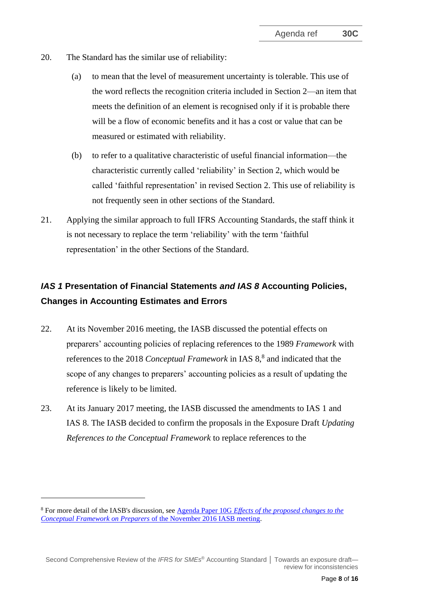- 20. The Standard has the similar use of reliability:
	- (a) to mean that the level of measurement uncertainty is tolerable. This use of the word reflects the recognition criteria included in Section 2—an item that meets the definition of an element is recognised only if it is probable there will be a flow of economic benefits and it has a cost or value that can be measured or estimated with reliability.
	- (b) to refer to a qualitative characteristic of useful financial information—the characteristic currently called 'reliability' in Section 2, which would be called 'faithful representation' in revised Section 2. This use of reliability is not frequently seen in other sections of the Standard.
- <span id="page-7-0"></span>21. Applying the similar approach to full IFRS Accounting Standards, the staff think it is not necessary to replace the term 'reliability' with the term 'faithful representation' in the other Sections of the Standard.

# *IAS 1* **Presentation of Financial Statements** *and IAS 8* **Accounting Policies, Changes in Accounting Estimates and Errors**

- <span id="page-7-1"></span>22. At its November 2016 meeting, the IASB discussed the potential effects on preparers' accounting policies of replacing references to the 1989 *Framework* with references to the 2018 *Conceptual Framework* in IAS 8,<sup>8</sup> and indicated that the scope of any changes to preparers' accounting policies as a result of updating the reference is likely to be limited.
- 23. At its January 2017 meeting, the IASB discussed the amendments to IAS 1 and IAS 8. The IASB decided to confirm the proposals in the Exposure Draft *Updating References to the Conceptual Framework* to replace references to the

<sup>8</sup> For more detail of the IASB's discussion, see Agenda Paper 10G *[Effects of the proposed changes to the](https://www.ifrs.org/content/dam/ifrs/meetings/2016/november/iasb/conceptual-framework/ap10g-effects-propose-changes-conceptual-framework-on-preparers.pdf)  Conceptual Framework on Preparers* [of the November 2016 IASB meeting.](https://www.ifrs.org/content/dam/ifrs/meetings/2016/november/iasb/conceptual-framework/ap10g-effects-propose-changes-conceptual-framework-on-preparers.pdf) 

Second Comprehensive Review of the *IFRS for SMEs* ® Accounting Standard **│** Towards an exposure draft review for inconsistencies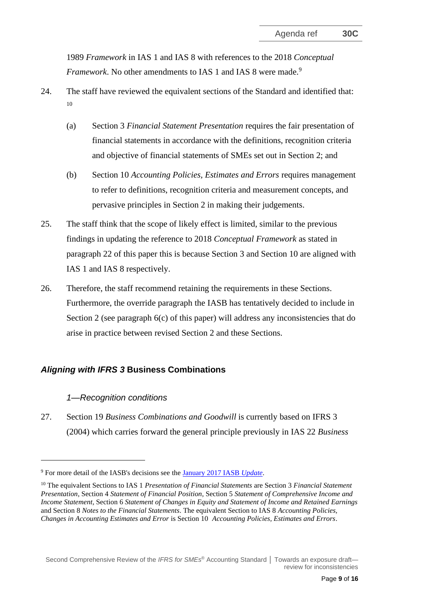1989 *Framework* in IAS 1 and IAS 8 with references to the 2018 *Conceptual Framework*. No other amendments to IAS 1 and IAS 8 were made.<sup>9</sup>

- 24. The staff have reviewed the equivalent sections of the Standard and identified that: 10
	- (a) Section 3 *Financial Statement Presentation* requires the fair presentation of financial statements in accordance with the definitions, recognition criteria and objective of financial statements of SMEs set out in Section 2; and
	- (b) Section 10 *Accounting Policies, Estimates and Errors* requires management to refer to definitions, recognition criteria and measurement concepts, and pervasive principles in Section 2 in making their judgements.
- 25. The staff think that the scope of likely effect is limited, similar to the previous findings in updating the reference to 2018 *Conceptual Framework* as stated in paragraph [22](#page-7-1) of this paper this is because Section 3 and Section 10 are aligned with IAS 1 and IAS 8 respectively.
- <span id="page-8-0"></span>26. Therefore, the staff recommend retaining the requirements in these Sections. Furthermore, the override paragraph the IASB has tentatively decided to include in Section 2 (see paragraph [6\(](#page-2-2)c) of this paper) will address any inconsistencies that do arise in practice between revised Section 2 and these Sections.

## *Aligning with IFRS 3* **Business Combinations**

#### *1—Recognition conditions*

<span id="page-8-1"></span>27. Section 19 *Business Combinations and Goodwill* is currently based on IFRS 3 (2004) which carries forward the general principle previously in IAS 22 *Business* 

<sup>9</sup> For more detail of the IASB's decisions see the [January 2017 IASB](https://www.ifrs.org/content/dam/ifrs/news/updates/iasb/2017/iasb-update-jan-2017.pdf) *Update*.

<sup>10</sup> The equivalent Sections to IAS 1 *Presentation of Financial Statements* are Section 3 *Financial Statement Presentation*, Section 4 *Statement of Financial Position*, Section 5 *Statement of Comprehensive Income and Income Statement*, Section 6 *Statement of Changes in Equity and Statement of Income and Retained Earnings* and Section 8 *Notes to the Financial Statements*. The equivalent Section to IAS 8 *Accounting Policies, Changes in Accounting Estimates and Error* is Section 10 *Accounting Policies, Estimates and Errors*.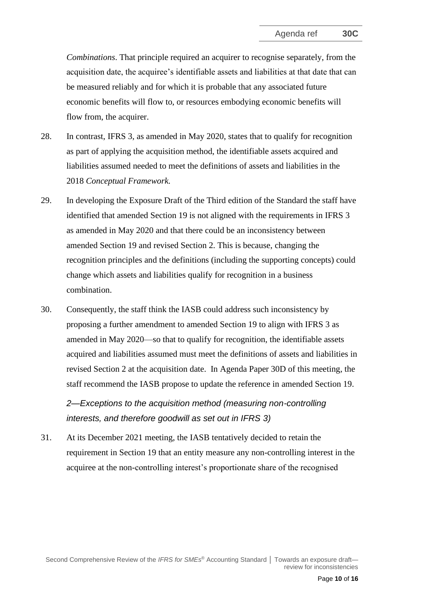*Combinations*. That principle required an acquirer to recognise separately, from the acquisition date, the acquiree's identifiable assets and liabilities at that date that can be measured reliably and for which it is probable that any associated future economic benefits will flow to, or resources embodying economic benefits will flow from, the acquirer.

- 28. In contrast, IFRS 3, as amended in May 2020, states that to qualify for recognition as part of applying the acquisition method, the [identifiable](https://eifrs.ifrs.org/eifrs/ViewContent?collection=2021_Annotated_Required_Standards&fn=IFRS03_APPA.html&scrollTo=IFRS03_APPA__IFRS03_P0314) assets acquired and liabilities assumed needed to meet the definitions of assets and liabilities in the 2018 *Conceptual Framework.*
- 29. In developing the Exposure Draft of the Third edition of the Standard the staff have identified that amended Section 19 is not aligned with the requirements in IFRS 3 as amended in May 2020 and that there could be an inconsistency between amended Section 19 and revised Section 2. This is because, changing the recognition principles and the definitions (including the supporting concepts) could change which assets and liabilities qualify for recognition in a business combination.
- 30. Consequently, the staff think the IASB could address such inconsistency by proposing a further amendment to amended Section 19 to align with IFRS 3 as amended in May 2020—so that to qualify for recognition, the identifiable assets acquired and liabilities assumed must meet the definitions of assets and liabilities in revised Section 2 at the acquisition date. In Agenda Paper 30D of this meeting, the staff recommend the IASB propose to update the reference in amended Section 19.

*2—Exceptions to the acquisition method (measuring non-controlling interests, and therefore goodwill as set out in IFRS 3)*

31. At its December 2021 meeting, the IASB tentatively decided to retain the requirement in Section 19 that an entity measure any non-controlling interest in the acquiree at the non-controlling interest's proportionate share of the recognised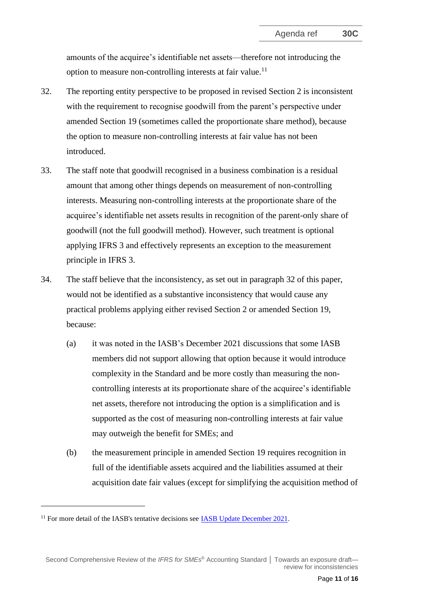amounts of the acquiree's identifiable net assets—therefore not introducing the option to measure non-controlling interests at fair value.<sup>11</sup>

- <span id="page-10-0"></span>32. The reporting entity perspective to be proposed in revised Section 2 is inconsistent with the requirement to recognise goodwill from the parent's perspective under amended Section 19 (sometimes called the proportionate share method), because the option to measure non-controlling interests at fair value has not been introduced.
- 33. The staff note that goodwill recognised in a business combination is a residual amount that among other things depends on measurement of non-controlling interests. Measuring non-controlling interests at the proportionate share of the acquiree's identifiable net assets results in recognition of the parent-only share of goodwill (not the full goodwill method). However, such treatment is optional applying IFRS 3 and effectively represents an exception to the measurement principle in IFRS 3.
- 34. The staff believe that the inconsistency, as set out in paragraph [32](#page-10-0) of this paper, would not be identified as a substantive inconsistency that would cause any practical problems applying either revised Section 2 or amended Section 19, because:
	- (a) it was noted in the IASB's December 2021 discussions that some IASB members did not support allowing that option because it would introduce complexity in the Standard and be more costly than measuring the noncontrolling interests at its proportionate share of the acquiree's identifiable net assets, therefore not introducing the option is a simplification and is supported as the cost of measuring non-controlling interests at fair value may outweigh the benefit for SMEs; and
	- (b) the measurement principle in amended Section 19 requires recognition in full of the identifiable assets acquired and the liabilities assumed at their acquisition date fair values (except for simplifying the acquisition method of

<sup>&</sup>lt;sup>11</sup> For more detail of the IASB's tentative decisions see  $IASB$  Update December 2021.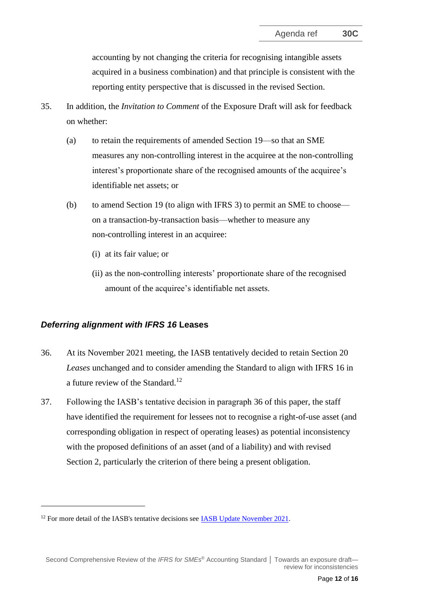accounting by not changing the criteria for recognising intangible assets acquired in a business combination) and that principle is consistent with the reporting entity perspective that is discussed in the revised Section.

- <span id="page-11-0"></span>35. In addition, the *Invitation to Comment* of the Exposure Draft will ask for feedback on whether:
	- (a) to retain the requirements of amended Section 19—so that an SME measures any non-controlling interest in the acquiree at the non-controlling interest's proportionate share of the recognised amounts of the acquiree's identifiable net assets; or
	- (b) to amend Section 19 (to align with IFRS 3) to permit an SME to choose on a transaction-by-transaction basis—whether to measure any non-controlling interest in an acquiree:
		- (i) at its fair value; or
		- (ii) as the non-controlling interests' proportionate share of the recognised amount of the acquiree's identifiable net assets.

#### *Deferring alignment with IFRS 16* **Leases**

- <span id="page-11-1"></span>36. At its November 2021 meeting, the IASB tentatively decided to retain Section 20 *Leases* unchanged and to consider amending the Standard to align with IFRS 16 in a future review of the Standard.<sup>12</sup>
- 37. Following the IASB's tentative decision in paragraph [36](#page-11-1) of this paper, the staff have identified the requirement for lessees not to recognise a right-of-use asset (and corresponding obligation in respect of operating leases) as potential inconsistency with the proposed definitions of an asset (and of a liability) and with revised Section 2, particularly the criterion of there being a present obligation.

 $12$  For more detail of the IASB's tentative decisions see [IASB Update November 2021.](https://www.ifrs.org/news-and-events/updates/iasb/2021/iasb-update-november-2021/)

Second Comprehensive Review of the *IFRS for SMEs* ® Accounting Standard **│** Towards an exposure draft review for inconsistencies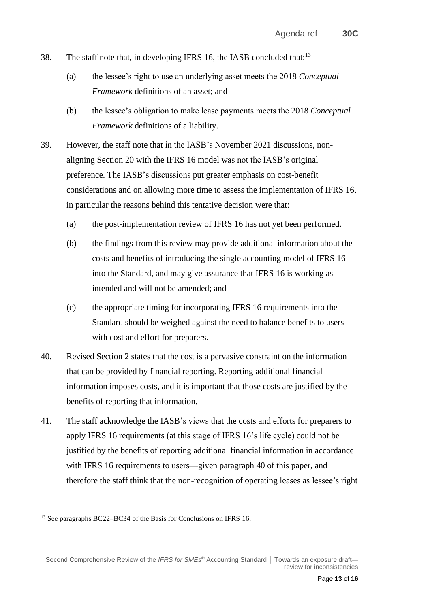- 38. The staff note that, in developing IFRS 16, the IASB concluded that:<sup>13</sup>
	- (a) the lessee's right to use an underlying asset meets the 2018 *Conceptual Framework* definitions of an asset; and
	- (b) the lessee's obligation to make lease payments meets the 2018 *Conceptual Framework* definitions of a liability.
- 39. However, the staff note that in the IASB's November 2021 discussions, nonaligning Section 20 with the IFRS 16 model was not the IASB's original preference. The IASB's discussions put greater emphasis on cost-benefit considerations and on allowing more time to assess the implementation of IFRS 16, in particular the reasons behind this tentative decision were that:
	- (a) the post-implementation review of IFRS 16 has not yet been performed.
	- (b) the findings from this review may provide additional information about the costs and benefits of introducing the single accounting model of IFRS 16 into the Standard, and may give assurance that IFRS 16 is working as intended and will not be amended; and
	- (c) the appropriate timing for incorporating IFRS 16 requirements into the Standard should be weighed against the need to balance benefits to users with cost and effort for preparers.
- <span id="page-12-0"></span>40. Revised Section 2 states that the cost is a pervasive constraint on the information that can be provided by financial reporting. Reporting additional financial information imposes costs, and it is important that those costs are justified by the benefits of reporting that information.
- 41. The staff acknowledge the IASB's views that the costs and efforts for preparers to apply IFRS 16 requirements (at this stage of IFRS 16's life cycle) could not be justified by the benefits of reporting additional financial information in accordance with IFRS 16 requirements to users—given paragraph [40](#page-12-0) of this paper, and therefore the staff think that the non-recognition of operating leases as lessee's right

<sup>&</sup>lt;sup>13</sup> See paragraphs BC22–BC34 of the Basis for Conclusions on IFRS 16.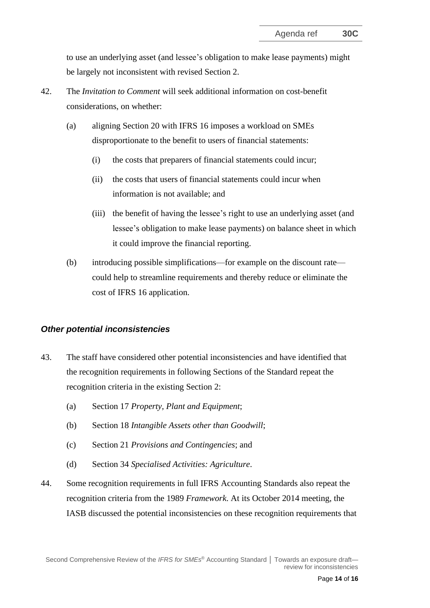to use an underlying asset (and lessee's obligation to make lease payments) might be largely not inconsistent with revised Section 2.

- <span id="page-13-0"></span>42. The *Invitation to Comment* will seek additional information on cost-benefit considerations, on whether:
	- (a) aligning Section 20 with IFRS 16 imposes a workload on SMEs disproportionate to the benefit to users of financial statements:
		- (i) the costs that preparers of financial statements could incur;
		- (ii) the costs that users of financial statements could incur when information is not available; and
		- (iii) the benefit of having the lessee's right to use an underlying asset (and lessee's obligation to make lease payments) on balance sheet in which it could improve the financial reporting.
	- (b) introducing possible simplifications—for example on the discount rate could help to streamline requirements and thereby reduce or eliminate the cost of IFRS 16 application.

#### *Other potential inconsistencies*

- <span id="page-13-1"></span>43. The staff have considered other potential inconsistencies and have identified that the recognition requirements in following Sections of the Standard repeat the recognition criteria in the existing Section 2:
	- (a) Section 17 *Property, Plant and Equipment*;
	- (b) Section 18 *Intangible Assets other than Goodwill*;
	- (c) Section 21 *Provisions and Contingencies*; and
	- (d) Section 34 *Specialised Activities: Agriculture*.
- 44. Some recognition requirements in full IFRS Accounting Standards also repeat the recognition criteria from the 1989 *Framework*. At its October 2014 meeting, the IASB discussed the potential inconsistencies on these recognition requirements that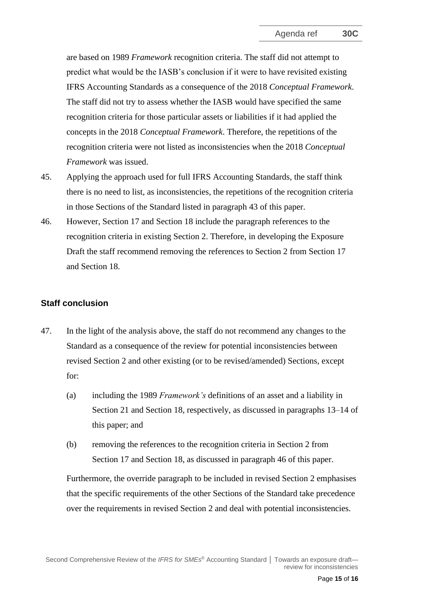are based on 1989 *Framework* recognition criteria. The staff did not attempt to predict what would be the IASB's conclusion if it were to have revisited existing IFRS Accounting Standards as a consequence of the 2018 *Conceptual Framework*. The staff did not try to assess whether the IASB would have specified the same recognition criteria for those particular assets or liabilities if it had applied the concepts in the 2018 *Conceptual Framework*. Therefore, the repetitions of the recognition criteria were not listed as inconsistencies when the 2018 *Conceptual Framework* was issued.

- 45. Applying the approach used for full IFRS Accounting Standards, the staff think there is no need to list, as inconsistencies, the repetitions of the recognition criteria in those Sections of the Standard listed in paragraph [43](#page-13-1) of this paper.
- <span id="page-14-0"></span>46. However, Section 17 and Section 18 include the paragraph references to the recognition criteria in existing Section 2. Therefore, in developing the Exposure Draft the staff recommend removing the references to Section 2 from Section 17 and Section 18.

#### **Staff conclusion**

- <span id="page-14-1"></span>47. In the light of the analysis above, the staff do not recommend any changes to the Standard as a consequence of the review for potential inconsistencies between revised Section 2 and other existing (or to be revised/amended) Sections, except for:
	- (a) including the 1989 *Framework's* definitions of an asset and a liability in Section 21 and Section 18, respectively, as discussed in paragraphs [13–](#page-4-0)[14](#page-5-0) of this paper; and
	- (b) removing the references to the recognition criteria in Section 2 from Section 17 and Section 18, as discussed in paragraph [46](#page-14-0) of this paper.

Furthermore, the override paragraph to be included in revised Section 2 emphasises that the specific requirements of the other Sections of the Standard take precedence over the requirements in revised Section 2 and deal with potential inconsistencies.